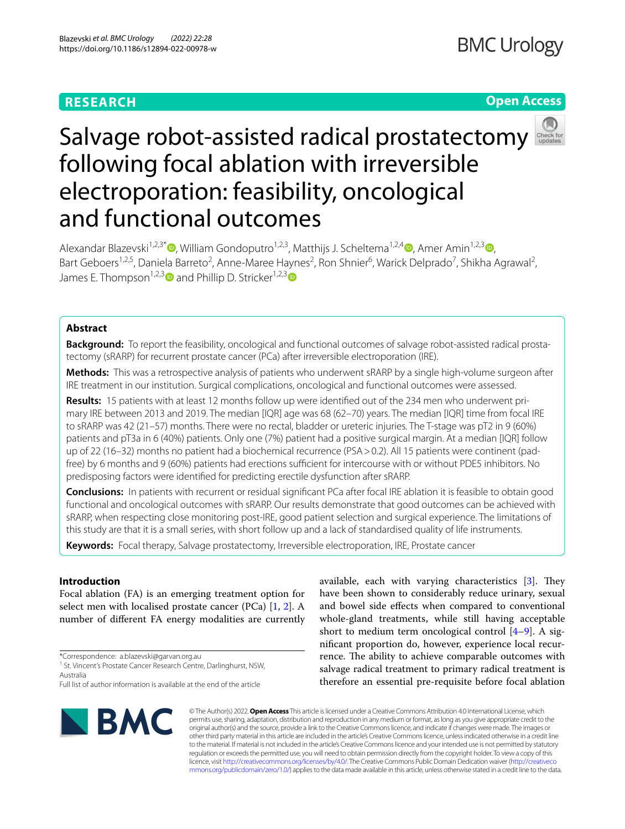# **RESEARCH**

## **Open Access**



# Salvage robot-assisted radical prostatectomy following focal ablation with irreversible electroporation: feasibility, oncological and functional outcomes

Alexandar Blazevski<sup>1,2,[3](http://orcid.org/0000-0002-0375-9245)\*</sup>  $\bullet$ [,](http://orcid.org/0000-0002-9098-9574) William Gondoputro<sup>1,2,3</sup>, Matthijs J. Scheltema<sup>1,2,4</sup>  $\bullet$ , Amer Amin<sup>1,2,3</sup>  $\bullet$ , Bart Geboers<sup>1,2,5</sup>, Daniela Barreto<sup>2</sup>, Anne-Maree Haynes<sup>2</sup>, Ron Shnier<sup>6</sup>, Warick Delprado<sup>7</sup>, Shikha Agrawal<sup>2</sup>, James E. Thompson<sup>1,2,[3](http://orcid.org/0000-0002-0934-0656)</sup> and Phillip D. Stricker<sup>1,2,3</sup>

## **Abstract**

**Background:** To report the feasibility, oncological and functional outcomes of salvage robot-assisted radical prostatectomy (sRARP) for recurrent prostate cancer (PCa) after irreversible electroporation (IRE).

**Methods:** This was a retrospective analysis of patients who underwent sRARP by a single high-volume surgeon after IRE treatment in our institution. Surgical complications, oncological and functional outcomes were assessed.

**Results:** 15 patients with at least 12 months follow up were identifed out of the 234 men who underwent pri‑ mary IRE between 2013 and 2019. The median [IQR] age was 68 (62–70) years. The median [IQR] time from focal IRE to sRARP was 42 (21–57) months. There were no rectal, bladder or ureteric injuries. The T-stage was pT2 in 9 (60%) patients and pT3a in 6 (40%) patients. Only one (7%) patient had a positive surgical margin. At a median [IQR] follow up of 22 (16–32) months no patient had a biochemical recurrence (PSA>0.2). All 15 patients were continent (padfree) by 6 months and 9 (60%) patients had erections sufficient for intercourse with or without PDE5 inhibitors. No predisposing factors were identifed for predicting erectile dysfunction after sRARP.

**Conclusions:** In patients with recurrent or residual signifcant PCa after focal IRE ablation it is feasible to obtain good functional and oncological outcomes with sRARP. Our results demonstrate that good outcomes can be achieved with sRARP, when respecting close monitoring post-IRE, good patient selection and surgical experience. The limitations of this study are that it is a small series, with short follow up and a lack of standardised quality of life instruments.

**Keywords:** Focal therapy, Salvage prostatectomy, Irreversible electroporation, IRE, Prostate cancer

## **Introduction**

Focal ablation (FA) is an emerging treatment option for select men with localised prostate cancer (PCa)  $[1, 2]$  $[1, 2]$  $[1, 2]$  $[1, 2]$ . A number of diferent FA energy modalities are currently

\*Correspondence: a.blazevski@garvan.org.au

Full list of author information is available at the end of the article



available, each with varying characteristics  $[3]$  $[3]$ . They have been shown to considerably reduce urinary, sexual and bowel side efects when compared to conventional whole-gland treatments, while still having acceptable short to medium term oncological control  $[4-9]$  $[4-9]$ . A signifcant proportion do, however, experience local recurrence. The ability to achieve comparable outcomes with salvage radical treatment to primary radical treatment is therefore an essential pre-requisite before focal ablation

© The Author(s) 2022. **Open Access** This article is licensed under a Creative Commons Attribution 4.0 International License, which permits use, sharing, adaptation, distribution and reproduction in any medium or format, as long as you give appropriate credit to the original author(s) and the source, provide a link to the Creative Commons licence, and indicate if changes were made. The images or other third party material in this article are included in the article's Creative Commons licence, unless indicated otherwise in a credit line to the material. If material is not included in the article's Creative Commons licence and your intended use is not permitted by statutory regulation or exceeds the permitted use, you will need to obtain permission directly from the copyright holder. To view a copy of this licence, visit [http://creativecommons.org/licenses/by/4.0/.](http://creativecommons.org/licenses/by/4.0/) The Creative Commons Public Domain Dedication waiver ([http://creativeco](http://creativecommons.org/publicdomain/zero/1.0/) [mmons.org/publicdomain/zero/1.0/](http://creativecommons.org/publicdomain/zero/1.0/)) applies to the data made available in this article, unless otherwise stated in a credit line to the data.

<sup>&</sup>lt;sup>1</sup> St. Vincent's Prostate Cancer Research Centre, Darlinghurst, NSW, Australia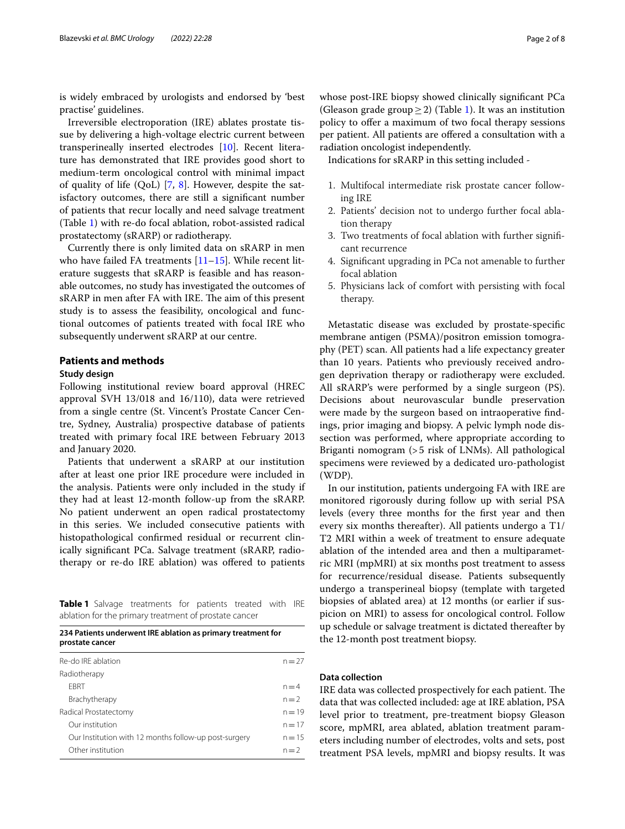is widely embraced by urologists and endorsed by 'best practise' guidelines.

Irreversible electroporation (IRE) ablates prostate tissue by delivering a high-voltage electric current between transperineally inserted electrodes [\[10\]](#page-6-5). Recent literature has demonstrated that IRE provides good short to medium-term oncological control with minimal impact of quality of life (QoL) [[7](#page-6-6), [8](#page-6-7)]. However, despite the satisfactory outcomes, there are still a signifcant number of patients that recur locally and need salvage treatment (Table [1\)](#page-1-0) with re-do focal ablation, robot-assisted radical prostatectomy (sRARP) or radiotherapy.

Currently there is only limited data on sRARP in men who have failed FA treatments  $[11–15]$  $[11–15]$  $[11–15]$  $[11–15]$ . While recent literature suggests that sRARP is feasible and has reasonable outcomes, no study has investigated the outcomes of sRARP in men after FA with IRE. The aim of this present study is to assess the feasibility, oncological and functional outcomes of patients treated with focal IRE who subsequently underwent sRARP at our centre.

## **Patients and methods**

#### **Study design**

Following institutional review board approval (HREC approval SVH 13/018 and 16/110), data were retrieved from a single centre (St. Vincent's Prostate Cancer Centre, Sydney, Australia) prospective database of patients treated with primary focal IRE between February 2013 and January 2020.

Patients that underwent a sRARP at our institution after at least one prior IRE procedure were included in the analysis. Patients were only included in the study if they had at least 12-month follow-up from the sRARP. No patient underwent an open radical prostatectomy in this series. We included consecutive patients with histopathological confrmed residual or recurrent clinically signifcant PCa. Salvage treatment (sRARP, radiotherapy or re-do IRE ablation) was ofered to patients

<span id="page-1-0"></span>**Table 1** Salvage treatments for patients treated with IRE ablation for the primary treatment of prostate cancer

| 234 Patients underwent IRE ablation as primary treatment for<br>prostate cancer |          |  |
|---------------------------------------------------------------------------------|----------|--|
| Re-do IRE ablation                                                              | $n = 27$ |  |
| Radiotherapy                                                                    |          |  |
| <b>FBRT</b>                                                                     | $n = 4$  |  |
| Brachytherapy                                                                   | $n=2$    |  |
| Radical Prostatectomy                                                           | $n = 19$ |  |
| Our institution                                                                 | $n = 17$ |  |
| Our Institution with 12 months follow-up post-surgery                           | $n = 15$ |  |
| Other institution                                                               | $n=2$    |  |

whose post-IRE biopsy showed clinically signifcant PCa (Gleason grade group > 2) (Table [1\)](#page-1-0). It was an institution policy to ofer a maximum of two focal therapy sessions per patient. All patients are offered a consultation with a radiation oncologist independently.

Indications for sRARP in this setting included -

- 1. Multifocal intermediate risk prostate cancer following IRE
- 2. Patients' decision not to undergo further focal ablation therapy
- 3. Two treatments of focal ablation with further signifcant recurrence
- 4. Signifcant upgrading in PCa not amenable to further focal ablation
- 5. Physicians lack of comfort with persisting with focal therapy.

Metastatic disease was excluded by prostate-specifc membrane antigen (PSMA)/positron emission tomography (PET) scan. All patients had a life expectancy greater than 10 years. Patients who previously received androgen deprivation therapy or radiotherapy were excluded. All sRARP's were performed by a single surgeon (PS). Decisions about neurovascular bundle preservation were made by the surgeon based on intraoperative fndings, prior imaging and biopsy. A pelvic lymph node dissection was performed, where appropriate according to Briganti nomogram (>5 risk of LNMs). All pathological specimens were reviewed by a dedicated uro-pathologist (WDP).

In our institution, patients undergoing FA with IRE are monitored rigorously during follow up with serial PSA levels (every three months for the frst year and then every six months thereafter). All patients undergo a T1/ T2 MRI within a week of treatment to ensure adequate ablation of the intended area and then a multiparametric MRI (mpMRI) at six months post treatment to assess for recurrence/residual disease. Patients subsequently undergo a transperineal biopsy (template with targeted biopsies of ablated area) at 12 months (or earlier if suspicion on MRI) to assess for oncological control. Follow up schedule or salvage treatment is dictated thereafter by the 12-month post treatment biopsy.

## **Data collection**

IRE data was collected prospectively for each patient. The data that was collected included: age at IRE ablation, PSA level prior to treatment, pre-treatment biopsy Gleason score, mpMRI, area ablated, ablation treatment parameters including number of electrodes, volts and sets, post treatment PSA levels, mpMRI and biopsy results. It was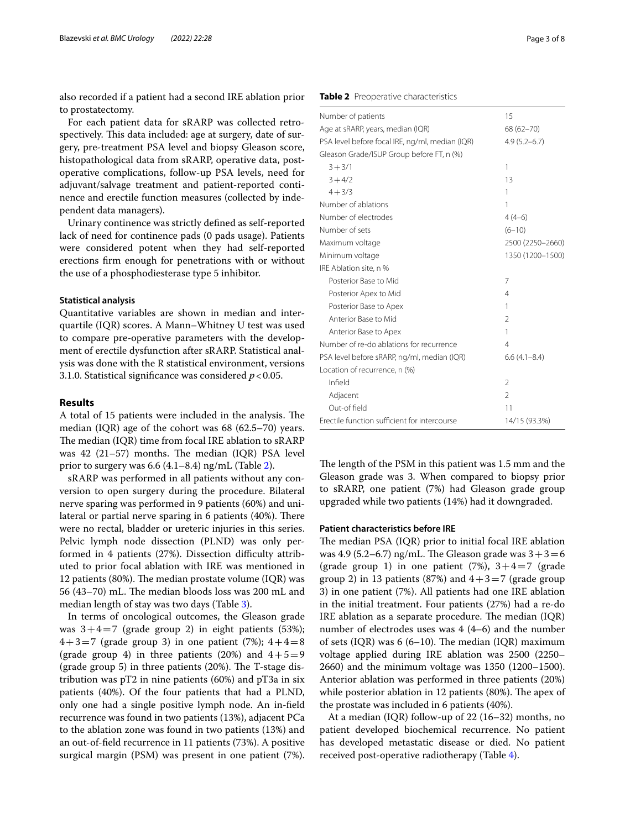also recorded if a patient had a second IRE ablation prior to prostatectomy.

For each patient data for sRARP was collected retrospectively. This data included: age at surgery, date of surgery, pre-treatment PSA level and biopsy Gleason score, histopathological data from sRARP, operative data, postoperative complications, follow-up PSA levels, need for adjuvant/salvage treatment and patient-reported continence and erectile function measures (collected by independent data managers).

Urinary continence was strictly defned as self-reported lack of need for continence pads (0 pads usage). Patients were considered potent when they had self-reported erections frm enough for penetrations with or without the use of a phosphodiesterase type 5 inhibitor.

### **Statistical analysis**

Quantitative variables are shown in median and interquartile (IQR) scores. A Mann–Whitney U test was used to compare pre-operative parameters with the development of erectile dysfunction after sRARP. Statistical analysis was done with the R statistical environment, versions 3.1.0. Statistical signifcance was considered *p*<0.05.

#### **Results**

A total of 15 patients were included in the analysis. The median (IQR) age of the cohort was 68 (62.5–70) years. The median (IQR) time from focal IRE ablation to  $sRARP$ was 42 (21–57) months. The median (IQR) PSA level prior to surgery was  $6.6$  (4.1–8.4) ng/mL (Table [2\)](#page-2-0).

sRARP was performed in all patients without any conversion to open surgery during the procedure. Bilateral nerve sparing was performed in 9 patients (60%) and unilateral or partial nerve sparing in 6 patients (40%). There were no rectal, bladder or ureteric injuries in this series. Pelvic lymph node dissection (PLND) was only performed in 4 patients (27%). Dissection difficulty attributed to prior focal ablation with IRE was mentioned in 12 patients (80%). The median prostate volume (IQR) was 56 (43–70) mL. The median bloods loss was 200 mL and median length of stay was two days (Table [3\)](#page-3-0).

In terms of oncological outcomes, the Gleason grade was  $3+4=7$  (grade group 2) in eight patients (53%);  $4+3=7$  (grade group 3) in one patient (7%);  $4+4=8$ (grade group 4) in three patients (20%) and  $4+5=9$ (grade group 5) in three patients  $(20\%)$ . The T-stage distribution was pT2 in nine patients (60%) and pT3a in six patients (40%). Of the four patients that had a PLND, only one had a single positive lymph node. An in-feld recurrence was found in two patients (13%), adjacent PCa to the ablation zone was found in two patients (13%) and an out-of-feld recurrence in 11 patients (73%). A positive surgical margin (PSM) was present in one patient (7%).

## <span id="page-2-0"></span>**Table 2** Preoperative characteristics

| Number of patients                              | 15               |
|-------------------------------------------------|------------------|
| Age at sRARP, years, median (IQR)               | 68 (62-70)       |
| PSA level before focal IRE, ng/ml, median (IQR) | $4.9(5.2 - 6.7)$ |
| Gleason Grade/ISUP Group before FT, n (%)       |                  |
| $3 + 3/1$                                       | 1                |
| $3 + 4/2$                                       | 13               |
| $4 + 3/3$                                       | 1                |
| Number of ablations                             | 1                |
| Number of electrodes                            | $4(4-6)$         |
| Number of sets                                  | $(6 - 10)$       |
| Maximum voltage                                 | 2500 (2250-2660) |
| Minimum voltage                                 | 1350 (1200-1500) |
| IRE Ablation site, n %                          |                  |
| Posterior Base to Mid                           | 7                |
| Posterior Apex to Mid                           | $\overline{4}$   |
| Posterior Base to Apex                          | 1                |
| Anterior Base to Mid                            | $\overline{2}$   |
| Anterior Base to Apex                           | 1                |
| Number of re-do ablations for recurrence        | $\overline{4}$   |
| PSA level before sRARP, ng/ml, median (IQR)     | $6.6(4.1 - 8.4)$ |
| Location of recurrence, n (%)                   |                  |
| Infield                                         | $\mathfrak{D}$   |
| Adjacent                                        | $\mathfrak{D}$   |
| Out-of field                                    | 11               |
| Frectile function sufficient for intercourse    | 14/15 (93.3%)    |

The length of the PSM in this patient was 1.5 mm and the Gleason grade was 3. When compared to biopsy prior to sRARP, one patient (7%) had Gleason grade group upgraded while two patients (14%) had it downgraded.

#### **Patient characteristics before IRE**

The median PSA (IOR) prior to initial focal IRE ablation was 4.9 (5.2–6.7) ng/mL. The Gleason grade was  $3+3=6$ (grade group 1) in one patient  $(7%)$ ,  $3+4=7$  (grade group 2) in 13 patients (87%) and  $4+3=7$  (grade group 3) in one patient (7%). All patients had one IRE ablation in the initial treatment. Four patients (27%) had a re-do IRE ablation as a separate procedure. The median  $(IQR)$ number of electrodes uses was 4 (4–6) and the number of sets (IQR) was 6 (6–10). The median (IQR) maximum voltage applied during IRE ablation was 2500 (2250– 2660) and the minimum voltage was 1350 (1200–1500). Anterior ablation was performed in three patients (20%) while posterior ablation in 12 patients  $(80\%)$ . The apex of the prostate was included in 6 patients (40%).

At a median (IQR) follow-up of 22 (16–32) months, no patient developed biochemical recurrence. No patient has developed metastatic disease or died. No patient received post-operative radiotherapy (Table [4\)](#page-4-0).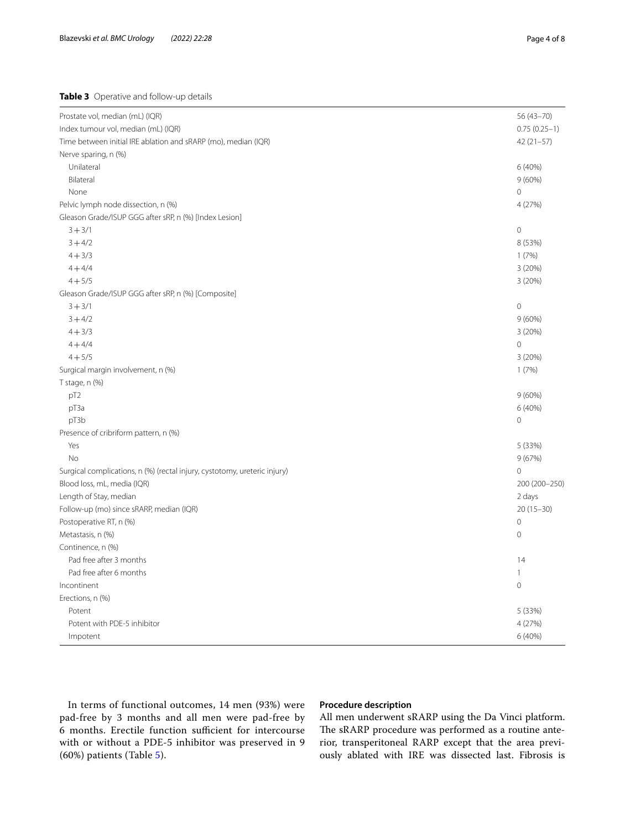<span id="page-3-0"></span>**Table 3** Operative and follow-up details

| Prostate vol, median (mL) (IQR)                                           | $56(43 - 70)$  |
|---------------------------------------------------------------------------|----------------|
| Index tumour vol, median (mL) (IQR)                                       | $0.75(0.25-1)$ |
| Time between initial IRE ablation and sRARP (mo), median (IQR)            | $42(21-57)$    |
| Nerve sparing, n (%)                                                      |                |
| Unilateral                                                                | 6 (40%)        |
| Bilateral                                                                 | $9(60\%)$      |
| None                                                                      | 0              |
| Pelvic lymph node dissection, n (%)                                       | 4 (27%)        |
| Gleason Grade/ISUP GGG after sRP, n (%) [Index Lesion]                    |                |
| $3 + 3/1$                                                                 | $\mathbf 0$    |
| $3 + 4/2$                                                                 | 8 (53%)        |
| $4 + 3/3$                                                                 | 1(7%)          |
| $4 + 4/4$                                                                 | 3 (20%)        |
| $4 + 5/5$                                                                 | 3(20%)         |
| Gleason Grade/ISUP GGG after sRP, n (%) [Composite]                       |                |
| $3 + 3/1$                                                                 | $\mathbf 0$    |
| $3 + 4/2$                                                                 | 9(60%)         |
| $4 + 3/3$                                                                 | 3(20%)         |
| $4 + 4/4$                                                                 | 0              |
| $4 + 5/5$                                                                 | 3(20%)         |
| Surgical margin involvement, n (%)                                        | 1(7%)          |
| T stage, n (%)                                                            |                |
| pT <sub>2</sub>                                                           | 9(60%)         |
| pT3a                                                                      | 6 (40%)        |
| pT3b                                                                      | $\overline{0}$ |
| Presence of cribriform pattern, n (%)                                     |                |
| Yes                                                                       | 5 (33%)        |
| <b>No</b>                                                                 | 9(67%)         |
| Surgical complications, n (%) (rectal injury, cystotomy, ureteric injury) | $\overline{0}$ |
| Blood loss, mL, media (IQR)                                               | 200 (200-250)  |
| Length of Stay, median                                                    | 2 days         |
| Follow-up (mo) since sRARP, median (IQR)                                  | $20(15-30)$    |
| Postoperative RT, n (%)                                                   | $\mathbf 0$    |
| Metastasis, n (%)                                                         | $\mathbf 0$    |
| Continence, n (%)                                                         |                |
| Pad free after 3 months                                                   | 14             |
| Pad free after 6 months                                                   | $\mathbf{1}$   |
| Incontinent                                                               | $\mathbf 0$    |
| Erections, n (%)                                                          |                |
| Potent                                                                    | 5 (33%)        |
| Potent with PDE-5 inhibitor                                               | 4 (27%)        |
| Impotent                                                                  | 6 (40%)        |

In terms of functional outcomes, 14 men (93%) were pad-free by 3 months and all men were pad-free by 6 months. Erectile function sufficient for intercourse with or without a PDE-5 inhibitor was preserved in 9 (60%) patients (Table [5\)](#page-4-1).

## **Procedure description**

All men underwent sRARP using the Da Vinci platform. The sRARP procedure was performed as a routine anterior, transperitoneal RARP except that the area previously ablated with IRE was dissected last. Fibrosis is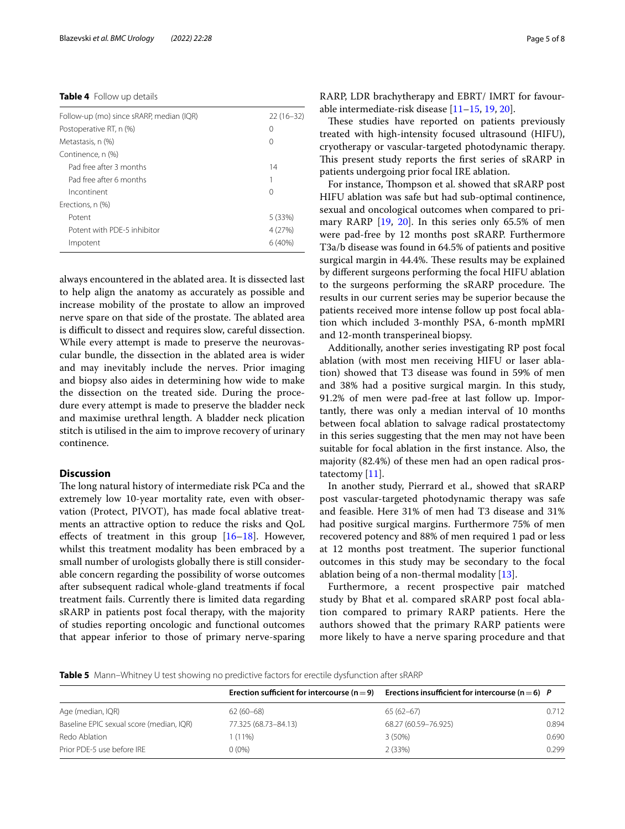#### <span id="page-4-0"></span>**Table 4** Follow up details

| Follow-up (mo) since sRARP, median (IQR) | $22(16-32)$      |
|------------------------------------------|------------------|
| Postoperative RT, n (%)                  | 0                |
| Metastasis, n (%)                        | $\left( \right)$ |
| Continence, n (%)                        |                  |
| Pad free after 3 months                  | 14               |
| Pad free after 6 months                  |                  |
| Incontinent                              | 0                |
| Erections, n (%)                         |                  |
| Potent                                   | 5 (33%)          |
| Potent with PDF-5 inhibitor              | 4 (27%)          |
| Impotent                                 | 6(40%)           |

always encountered in the ablated area. It is dissected last to help align the anatomy as accurately as possible and increase mobility of the prostate to allow an improved nerve spare on that side of the prostate. The ablated area is difficult to dissect and requires slow, careful dissection. While every attempt is made to preserve the neurovascular bundle, the dissection in the ablated area is wider and may inevitably include the nerves. Prior imaging and biopsy also aides in determining how wide to make the dissection on the treated side. During the procedure every attempt is made to preserve the bladder neck and maximise urethral length. A bladder neck plication stitch is utilised in the aim to improve recovery of urinary continence.

## **Discussion**

The long natural history of intermediate risk PCa and the extremely low 10-year mortality rate, even with observation (Protect, PIVOT), has made focal ablative treatments an attractive option to reduce the risks and QoL effects of treatment in this group  $[16–18]$  $[16–18]$  $[16–18]$ . However, whilst this treatment modality has been embraced by a small number of urologists globally there is still considerable concern regarding the possibility of worse outcomes after subsequent radical whole-gland treatments if focal treatment fails. Currently there is limited data regarding sRARP in patients post focal therapy, with the majority of studies reporting oncologic and functional outcomes that appear inferior to those of primary nerve-sparing RARP, LDR brachytherapy and EBRT/ IMRT for favourable intermediate-risk disease [[11](#page-6-8)[–15](#page-7-0), [19,](#page-7-3) [20](#page-7-4)].

These studies have reported on patients previously treated with high-intensity focused ultrasound (HIFU), cryotherapy or vascular-targeted photodynamic therapy. This present study reports the first series of sRARP in patients undergoing prior focal IRE ablation.

For instance, Thompson et al. showed that sRARP post HIFU ablation was safe but had sub-optimal continence, sexual and oncological outcomes when compared to primary RARP [[19,](#page-7-3) [20\]](#page-7-4). In this series only 65.5% of men were pad-free by 12 months post sRARP. Furthermore T3a/b disease was found in 64.5% of patients and positive surgical margin in 44.4%. These results may be explained by diferent surgeons performing the focal HIFU ablation to the surgeons performing the sRARP procedure. The results in our current series may be superior because the patients received more intense follow up post focal ablation which included 3-monthly PSA, 6-month mpMRI and 12-month transperineal biopsy.

Additionally, another series investigating RP post focal ablation (with most men receiving HIFU or laser ablation) showed that T3 disease was found in 59% of men and 38% had a positive surgical margin. In this study, 91.2% of men were pad-free at last follow up. Importantly, there was only a median interval of 10 months between focal ablation to salvage radical prostatectomy in this series suggesting that the men may not have been suitable for focal ablation in the frst instance. Also, the majority (82.4%) of these men had an open radical prostatectomy [\[11\]](#page-6-8).

In another study, Pierrard et al., showed that sRARP post vascular-targeted photodynamic therapy was safe and feasible. Here 31% of men had T3 disease and 31% had positive surgical margins. Furthermore 75% of men recovered potency and 88% of men required 1 pad or less at 12 months post treatment. The superior functional outcomes in this study may be secondary to the focal ablation being of a non-thermal modality [[13\]](#page-7-5).

Furthermore, a recent prospective pair matched study by Bhat et al. compared sRARP post focal ablation compared to primary RARP patients. Here the authors showed that the primary RARP patients were more likely to have a nerve sparing procedure and that

## <span id="page-4-1"></span>**Table 5** Mann–Whitney U test showing no predictive factors for erectile dysfunction after sRARP

|                                          | Erection sufficient for intercourse ( $n = 9$ ) | Erections insufficient for intercourse ( $n = 6$ ) P |       |
|------------------------------------------|-------------------------------------------------|------------------------------------------------------|-------|
| Age (median, IQR)                        | $62(60-68)$                                     | $65(62-67)$                                          | 0.712 |
| Baseline EPIC sexual score (median, IQR) | 77.325 (68.73-84.13)                            | 68.27 (60.59-76.925)                                 | 0.894 |
| Redo Ablation                            | $(11\%)$                                        | $3(50\%)$                                            | 0.690 |
| Prior PDE-5 use before IRE               | $0(0\%)$                                        | 2(33%)                                               | 0.299 |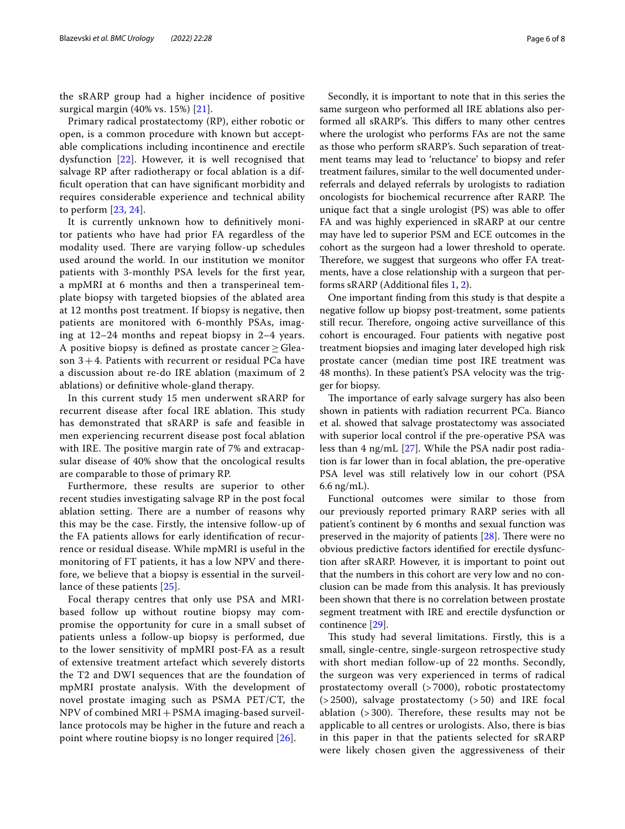the sRARP group had a higher incidence of positive surgical margin (40% vs. 15%) [\[21](#page-7-6)].

Primary radical prostatectomy (RP), either robotic or open, is a common procedure with known but acceptable complications including incontinence and erectile dysfunction [[22\]](#page-7-7). However, it is well recognised that salvage RP after radiotherapy or focal ablation is a diffcult operation that can have signifcant morbidity and requires considerable experience and technical ability to perform [\[23](#page-7-8), [24](#page-7-9)].

It is currently unknown how to defnitively monitor patients who have had prior FA regardless of the modality used. There are varying follow-up schedules used around the world. In our institution we monitor patients with 3-monthly PSA levels for the frst year, a mpMRI at 6 months and then a transperineal template biopsy with targeted biopsies of the ablated area at 12 months post treatment. If biopsy is negative, then patients are monitored with 6-monthly PSAs, imaging at 12–24 months and repeat biopsy in 2–4 years. A positive biopsy is defined as prostate cancer  $\geq$  Gleason  $3+4$ . Patients with recurrent or residual PCa have a discussion about re-do IRE ablation (maximum of 2 ablations) or defnitive whole-gland therapy.

In this current study 15 men underwent sRARP for recurrent disease after focal IRE ablation. This study has demonstrated that sRARP is safe and feasible in men experiencing recurrent disease post focal ablation with IRE. The positive margin rate of 7% and extracapsular disease of 40% show that the oncological results are comparable to those of primary RP.

Furthermore, these results are superior to other recent studies investigating salvage RP in the post focal ablation setting. There are a number of reasons why this may be the case. Firstly, the intensive follow-up of the FA patients allows for early identifcation of recurrence or residual disease. While mpMRI is useful in the monitoring of FT patients, it has a low NPV and therefore, we believe that a biopsy is essential in the surveillance of these patients [[25](#page-7-10)].

Focal therapy centres that only use PSA and MRIbased follow up without routine biopsy may compromise the opportunity for cure in a small subset of patients unless a follow-up biopsy is performed, due to the lower sensitivity of mpMRI post-FA as a result of extensive treatment artefact which severely distorts the T2 and DWI sequences that are the foundation of mpMRI prostate analysis. With the development of novel prostate imaging such as PSMA PET/CT, the NPV of combined MRI+PSMA imaging-based surveillance protocols may be higher in the future and reach a point where routine biopsy is no longer required [[26\]](#page-7-11).

Secondly, it is important to note that in this series the same surgeon who performed all IRE ablations also performed all sRARP's. This differs to many other centres where the urologist who performs FAs are not the same as those who perform sRARP's. Such separation of treatment teams may lead to 'reluctance' to biopsy and refer treatment failures, similar to the well documented underreferrals and delayed referrals by urologists to radiation oncologists for biochemical recurrence after RARP. The unique fact that a single urologist (PS) was able to ofer FA and was highly experienced in sRARP at our centre may have led to superior PSM and ECE outcomes in the cohort as the surgeon had a lower threshold to operate. Therefore, we suggest that surgeons who offer FA treatments, have a close relationship with a surgeon that performs sRARP (Additional fles [1,](#page-6-9) [2](#page-6-10)).

One important fnding from this study is that despite a negative follow up biopsy post-treatment, some patients still recur. Therefore, ongoing active surveillance of this cohort is encouraged. Four patients with negative post treatment biopsies and imaging later developed high risk prostate cancer (median time post IRE treatment was 48 months). In these patient's PSA velocity was the trigger for biopsy.

The importance of early salvage surgery has also been shown in patients with radiation recurrent PCa. Bianco et al. showed that salvage prostatectomy was associated with superior local control if the pre-operative PSA was less than 4 ng/mL [[27\]](#page-7-12). While the PSA nadir post radiation is far lower than in focal ablation, the pre-operative PSA level was still relatively low in our cohort (PSA 6.6 ng/mL).

Functional outcomes were similar to those from our previously reported primary RARP series with all patient's continent by 6 months and sexual function was preserved in the majority of patients  $[28]$  $[28]$ . There were no obvious predictive factors identifed for erectile dysfunction after sRARP. However, it is important to point out that the numbers in this cohort are very low and no conclusion can be made from this analysis. It has previously been shown that there is no correlation between prostate segment treatment with IRE and erectile dysfunction or continence [\[29\]](#page-7-14).

This study had several limitations. Firstly, this is a small, single-centre, single-surgeon retrospective study with short median follow-up of 22 months. Secondly, the surgeon was very experienced in terms of radical prostatectomy overall (> 7000), robotic prostatectomy (> 2500), salvage prostatectomy (> 50) and IRE focal ablation  $(>300)$ . Therefore, these results may not be applicable to all centres or urologists. Also, there is bias in this paper in that the patients selected for sRARP were likely chosen given the aggressiveness of their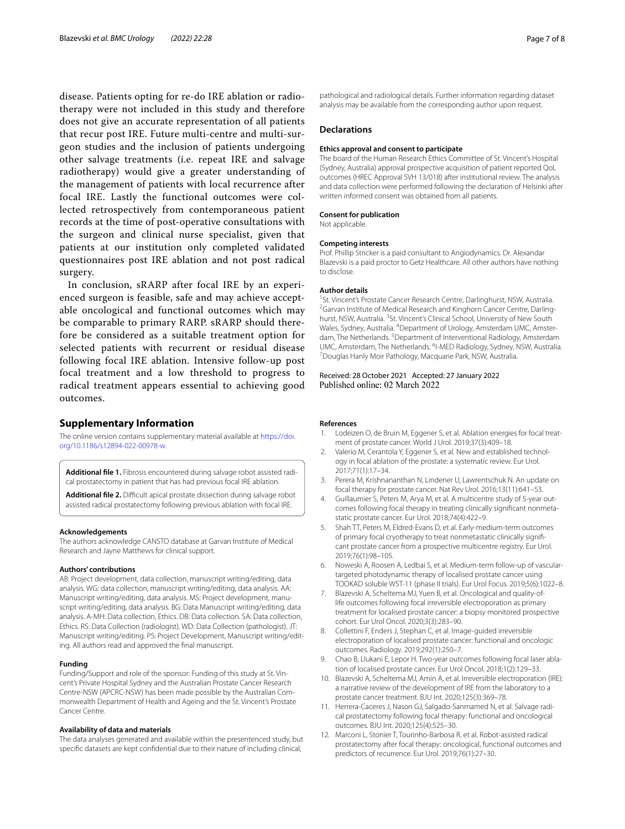disease. Patients opting for re-do IRE ablation or radiotherapy were not included in this study and therefore does not give an accurate representation of all patients that recur post IRE. Future multi-centre and multi-surgeon studies and the inclusion of patients undergoing other salvage treatments (i.e. repeat IRE and salvage radiotherapy) would give a greater understanding of the management of patients with local recurrence after focal IRE. Lastly the functional outcomes were collected retrospectively from contemporaneous patient records at the time of post-operative consultations with the surgeon and clinical nurse specialist, given that patients at our institution only completed validated questionnaires post IRE ablation and not post radical surgery.

In conclusion, sRARP after focal IRE by an experienced surgeon is feasible, safe and may achieve acceptable oncological and functional outcomes which may be comparable to primary RARP. sRARP should therefore be considered as a suitable treatment option for selected patients with recurrent or residual disease following focal IRE ablation. Intensive follow-up post focal treatment and a low threshold to progress to radical treatment appears essential to achieving good outcomes.

## **Supplementary Information**

The online version contains supplementary material available at [https://doi.](https://doi.org/10.1186/s12894-022-00978-w) [org/10.1186/s12894-022-00978-w.](https://doi.org/10.1186/s12894-022-00978-w)

<span id="page-6-10"></span><span id="page-6-9"></span>Additional file 1. Fibrosis encountered during salvage robot assisted radical prostatectomy in patient that has had previous focal IRE ablation.

Additional file 2. Difficult apical prostate dissection during salvage robot assisted radical prostatectomy following previous ablation with focal IRE.

#### **Acknowledgements**

The authors acknowledge CANSTO database at Garvan Institute of Medical Research and Jayne Matthews for clinical support.

#### **Authors' contributions**

AB: Project development, data collection, manuscript writing/editing, data analysis. WG: data collection, manuscript writing/editing, data analysis. AA: Manuscript writing/editing, data analysis. MS: Project development, manuscript writing/editing, data analysis. BG: Data Manuscript writing/editing, data analysis. A-MH: Data collection, Ethics. DB: Data collection. SA: Data collection, Ethics. RS: Data Collection (radiologist). WD: Data Collection (pathologist). JT: Manuscript writing/editing. PS: Project Development, Manuscript writing/edit‑ ing. All authors read and approved the fnal manuscript.

#### **Funding**

Funding/Support and role of the sponsor: Funding of this study at St. Vincent's Private Hospital Sydney and the Australian Prostate Cancer Research Centre-NSW (APCRC-NSW) has been made possible by the Australian Commonwealth Department of Health and Ageing and the St. Vincent's Prostate Cancer Centre.

#### **Availability of data and materials**

The data analyses generated and available within the presentenced study, but specifc datasets are kept confdential due to their nature of including clinical,

pathological and radiological details. Further information regarding dataset analysis may be available from the corresponding author upon request.

#### **Declarations**

#### **Ethics approval and consent to participate**

The board of the Human Research Ethics Committee of St. Vincent's Hospital (Sydney, Australia) approval prospective acquisition of patient reported QoL outcomes (HREC Approval SVH 13/018) after institutional review. The analysis and data collection were performed following the declaration of Helsinki after written informed consent was obtained from all patients.

## **Consent for publication**

Not applicable.

#### **Competing interests**

Prof. Phillip Stricker is a paid consultant to Angiodynamics. Dr. Alexandar Blazevski is a paid proctor to Getz Healthcare. All other authors have nothing to disclose.

#### **Author details**

<sup>1</sup> St. Vincent's Prostate Cancer Research Centre, Darlinghurst, NSW, Australia. <sup>2</sup> Garvan Institute of Medical Research and Kinghorn Cancer Centre, Darlinghurst, NSW, Australia. <sup>3</sup>St. Vincent's Clinical School, University of New South Wales, Sydney, Australia. <sup>4</sup>Department of Urology, Amsterdam UMC, Amsterdam, The Netherlands. <sup>5</sup> Department of Interventional Radiology, Amsterdam UMC, Amsterdam, The Netherlands. <sup>6</sup>I-MED Radiology, Sydney, NSW, Australia.<br><sup>7</sup> Douglas Hank: Moir Pathology, Macquarie Park, NSW, Australia. Douglas Hanly Moir Pathology, Macquarie Park, NSW, Australia.

#### Received: 28 October 2021 Accepted: 27 January 2022 Published online: 02 March 2022

#### **References**

- <span id="page-6-0"></span>Lodeizen O, de Bruin M, Eggener S, et al. Ablation energies for focal treatment of prostate cancer. World J Urol. 2019;37(3):409–18.
- <span id="page-6-1"></span>2. Valerio M, Cerantola Y, Eggener S, et al. New and established technology in focal ablation of the prostate: a systematic review. Eur Urol. 2017;71(1):17–34.
- <span id="page-6-2"></span>3. Perera M, Krishnananthan N, Lindener U, Lawrentschuk N. An update on focal therapy for prostate cancer. Nat Rev Urol. 2016;13(11):641–53.
- <span id="page-6-3"></span>4. Guillaumier S, Peters M, Arya M, et al. A multicentre study of 5-year outcomes following focal therapy in treating clinically significant nonmetastatic prostate cancer. Eur Urol. 2018;74(4):422–9.
- 5. Shah TT, Peters M, Eldred-Evans D, et al. Early-medium-term outcomes of primary focal cryotherapy to treat nonmetastatic clinically significant prostate cancer from a prospective multicentre registry. Eur Urol. 2019;76(1):98–105.
- 6. Noweski A, Roosen A, Ledbai S, et al. Medium-term follow-up of vasculartargeted photodynamic therapy of localised prostate cancer using TOOKAD soluble WST-11 (phase II trials). Eur Urol Focus. 2019;5(6):1022–8.
- <span id="page-6-6"></span>7. Blazevski A, Scheltema MJ, Yuen B, et al. Oncological and quality-oflife outcomes following focal irreversible electroporation as primary treatment for localised prostate cancer: a biopsy monitored prospective cohort. Eur Urol Oncol. 2020;3(3):283–90.
- <span id="page-6-7"></span>8. Collettini F, Enders J, Stephan C, et al. Image-guided irreversible electroporation of localised prostate cancer: functional and oncologic outcomes. Radiology. 2019;292(1):250–7.
- <span id="page-6-4"></span>9. Chao B, Llukani E, Lepor H. Two-year outcomes following focal laser ablation of localised prostate cancer. Eur Urol Oncol. 2018;1(2):129–33.
- <span id="page-6-5"></span>10. Blazevski A, Scheltema MJ, Amin A, et al. Irreversible electroporation (IRE): a narrative review of the development of IRE from the laboratory to a prostate cancer treatment. BJU Int. 2020;125(3):369–78.
- <span id="page-6-8"></span>11. Herrera-Caceres J, Nason GJ, Salgado-Sanmamed N, et al. Salvage radical prostatectomy following focal therapy: functional and oncological outcomes. BJU Int. 2020;125(4):525–30.
- 12. Marconi L, Stonier T, Tourinho-Barbosa R, et al. Robot-assisted radical prostatectomy after focal therapy: oncological, functional outcomes and predictors of recurrence. Eur Urol. 2019;76(1):27–30.